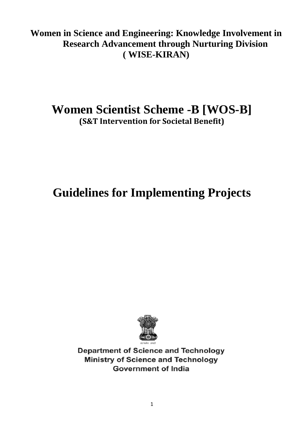**Women in Science and Engineering: Knowledge Involvement in Research Advancement through Nurturing Division ( WISE-KIRAN)** 

## **Women Scientist Scheme -B [WOS-B] (S&T Intervention for Societal Benefit)**

# **Guidelines for Implementing Projects**



**Department of Science and Technology Ministry of Science and Technology Government of India**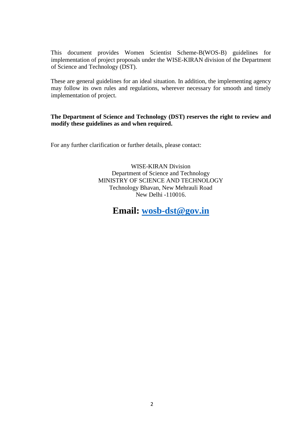This document provides Women Scientist Scheme-B(WOS-B) guidelines for implementation of project proposals under the WISE-KIRAN division of the Department of Science and Technology (DST).

These are general guidelines for an ideal situation. In addition, the implementing agency may follow its own rules and regulations, wherever necessary for smooth and timely implementation of project.

#### **The Department of Science and Technology (DST) reserves the right to review and modify these guidelines as and when required.**

For any further clarification or further details, please contact:

WISE-KIRAN Division Department of Science and Technology MINISTRY OF SCIENCE AND TECHNOLOGY Technology Bhavan, New Mehrauli Road New Delhi -110016.

### **Email: [wosb-dst@gov.in](mailto:wosb-dst@gov.in)**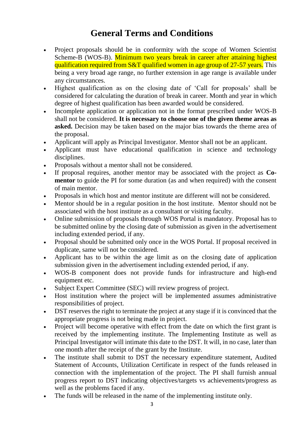## **General Terms and Conditions**

- Project proposals should be in conformity with the scope of Women Scientist Scheme-B (WOS-B). Minimum two years break in career after attaining highest qualification required from S&T qualified women in age group of 27-57 years. This being a very broad age range, no further extension in age range is available under any circumstances.
- Highest qualification as on the closing date of 'Call for proposals' shall be considered for calculating the duration of break in career. Month and year in which degree of highest qualification has been awarded would be considered.
- Incomplete application or application not in the format prescribed under WOS-B shall not be considered. **It is necessary to choose one of the given theme areas as asked.** Decision may be taken based on the major bias towards the theme area of the proposal.
- Applicant will apply as Principal Investigator. Mentor shall not be an applicant.
- Applicant must have educational qualification in science and technology disciplines.
- Proposals without a mentor shall not be considered.
- If proposal requires, another mentor may be associated with the project as **Comentor** to guide the PI for some duration (as and when required) with the consent of main mentor.
- Proposals in which host and mentor institute are different will not be considered.
- Mentor should be in a regular position in the host institute. Mentor should not be associated with the host institute as a consultant or visiting faculty.
- Online submission of proposals through WOS Portal is mandatory. Proposal has to be submitted online by the closing date of submission as given in the advertisement including extended period, if any.
- Proposal should be submitted only once in the WOS Portal. If proposal received in duplicate, same will not be considered.
- Applicant has to be within the age limit as on the closing date of application submission given in the advertisement including extended period, if any.
- WOS-B component does not provide funds for infrastructure and high-end equipment etc.
- Subject Expert Committee (SEC) will review progress of project.
- Host institution where the project will be implemented assumes administrative responsibilities of project.
- DST reserves the right to terminate the project at any stage if it is convinced that the appropriate progress is not being made in project.
- Project will become operative with effect from the date on which the first grant is received by the implementing institute. The Implementing Institute as well as Principal Investigator will intimate this date to the DST. It will, in no case, later than one month after the receipt of the grant by the Institute.
- The institute shall submit to DST the necessary expenditure statement, Audited Statement of Accounts, Utilization Certificate in respect of the funds released in connection with the implementation of the project. The PI shall furnish annual progress report to DST indicating objectives/targets vs achievements/progress as well as the problems faced if any.
- The funds will be released in the name of the implementing institute only.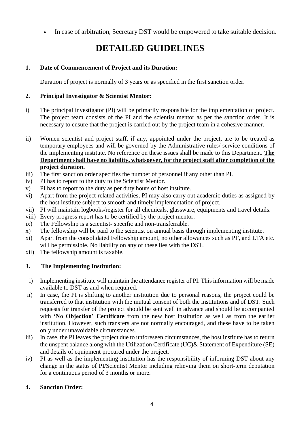• In case of arbitration, Secretary DST would be empowered to take suitable decision.

## **DETAILED GUIDELINES**

#### **1. Date of Commencement of Project and its Duration:**

Duration of project is normally of 3 years or as specified in the first sanction order.

#### **2**. **Principal Investigator & Scientist Mentor:**

- i) The principal investigator (PI) will be primarily responsible for the implementation of project. The project team consists of the PI and the scientist mentor as per the sanction order. It is necessary to ensure that the project is carried out by the project team in a cohesive manner.
- ii) Women scientist and project staff, if any, appointed under the project, are to be treated as temporary employees and will be governed by the Administrative rules/ service conditions of the implementing institute. No reference on these issues shall be made to this Department. **The Department shall have no liability, whatsoever, for the project staff after completion of the project duration.**
- iii) The first sanction order specifies the number of personnel if any other than PI.
- iv) PI has to report to the duty to the Scientist Mentor.
- v) PI has to report to the duty as per duty hours of host institute.
- vi) Apart from the project related activities, PI may also carry out academic duties as assigned by the host institute subject to smooth and timely implementation of project.
- vii) PI will maintain logbooks/register for all chemicals, glassware, equipments and travel details.
- viii) Every progress report has to be certified by the project mentor.
- ix) The Fellowship is a scientist- specific and non-transferrable.
- x) The fellowship will be paid to the scientist on annual basis through implementing institute.
- xi) Apart from the consolidated Fellowship amount, no other allowances such as PF, and LTA etc. will be permissible. No liability on any of these lies with the DST.
- xii) The fellowship amount is taxable.

#### **3. The Implementing Institution:**

- i) Implementing institute will maintain the attendance register of PI. This information will be made available to DST as and when required.
- ii) In case, the PI is shifting to another institution due to personal reasons, the project could be transferred to that institution with the mutual consent of both the institutions and of DST. Such requests for transfer of the project should be sent well in advance and should be accompanied with **'No Objection' Certificate** from the new host institution as well as from the earlier institution. However, such transfers are not normally encouraged, and these have to be taken only under unavoidable circumstances.
- iii) In case, the PI leaves the project due to unforeseen circumstances, the host institute has to return the unspent balance along with the Utilization Certificate (UC)& Statement of Expenditure (SE) and details of equipment procured under the project.
- iv) PI as well as the implementing institution has the responsibility of informing DST about any change in the status of PI/Scientist Mentor including relieving them on short-term deputation for a continuous period of 3 months or more.

#### **4. Sanction Order:**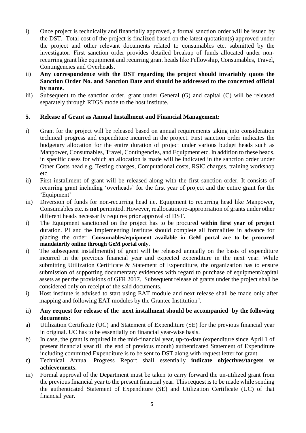- i) Once project is technically and financially approved, a formal sanction order will be issued by the DST. Total cost of the project is finalized based on the latest quotation(s) approved under the project and other relevant documents related to consumables etc. submitted by the investigator. First sanction order provides detailed breakup of funds allocated under nonrecurring grant like equipment and recurring grant heads like Fellowship, Consumables, Travel, Contingencies and Overheads.
- ii) **Any correspondence with the DST regarding the project should invariably quote the Sanction Order No. and Sanction Date and should be addressed to the concerned official by name.**
- iii) Subsequent to the sanction order, grant under General (G) and capital (C) will be released separately through RTGS mode to the host institute.

#### **5. Release of Grant as Annual Installment and Financial Management:**

- i) Grant for the project will be released based on annual requirements taking into consideration technical progress and expenditure incurred in the project. First sanction order indicates the budgetary allocation for the entire duration of project under various budget heads such as Manpower, Consumables, Travel, Contingencies, and Equipment etc. In addition to these heads, in specific cases for which an allocation is made will be indicated in the sanction order under Other Costs head e.g. Testing charges, Computational costs, RSIC charges, training workshop etc.
- ii) First installment of grant will be released along with the first sanction order. It consists of recurring grant including 'overheads' for the first year of project and the entire grant for the 'Equipment'
- iii) Diversion of funds for non-recurring head i.e. Equipment to recurring head like Manpower, Consumables etc. is **not** permitted. However, reallocation/re-appropriation of grants under other different heads necessarily requires prior approval of DST.
- i) The Equipment sanctioned on the project has to be procured **within first year of project** duration. PI and the Implementing Institute should complete all formalities in advance for placing the order. **Consumables/equipment available in GeM portal are to be procured mandatorily online through GeM portal only.**
- i) The subsequent installment(s) of grant will be released annually on the basis of expenditure incurred in the previous financial year and expected expenditure in the next year. While submitting Utilization Certificate & Statement of Expenditure, the organization has to ensure submission of supporting documentary evidences with regard to purchase of equipment/capital assets as per the provisions of GFR 2017. Subsequent release of grants under the project shall be considered only on receipt of the said documents.
- i) Host institute is advised to start using EAT module and next release shall be made only after mapping and following EAT modules by the Grantee Institution".
- ii) **Any request for release of the next installment should be accompanied by the following documents:**
- a) Utilization Certificate (UC) and Statement of Expenditure (SE) for the previous financial year in original. UC has to be essentially on financial year-wise basis.
- b) In case, the grant is required in the mid-financial year, up-to-date (expenditure since April 1 of present financial year till the end of previous month) authenticated Statement of Expenditure including committed Expenditure is to be sent to DST along with request letter for grant.
- **c)** Technical Annual Progress Report shall essentially **indicate objectives/targets vs achievements.**
- iii) Formal approval of the Department must be taken to carry forward the un-utilized grant from the previous financial year to the present financial year. This request is to be made while sending the authenticated Statement of Expenditure (SE) and Utilization Certificate (UC) of that financial year.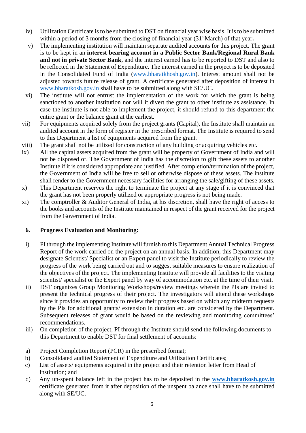- iv) Utilization Certificate is to be submitted to DST on financial year wise basis. It is to be submitted within a period of 3 months from the closing of financial year (31<sup>st</sup>March) of that year.
- v) The implementing institution will maintain separate audited accounts for this project. The grant is to be kept in an **interest bearing account in a Public Sector Bank/Regional Rural Bank and not in private Sector Bank**, and the interest earned has to be reported to DST and also to be reflected in the Statement of Expenditure. The interest earned in the project is to be deposited in the Consolidated Fund of India [\(www.bharatkhosh.gov.in\)](http://www.bharatkhosh.gov.in/). Interest amount shall not be adjusted towards future release of grant. A certificate generated after deposition of interest in [www.bharatkosh.gov.in](http://www.bharatkosh.gov.in/) shall have to be submitted along with SE/UC.
- vi) The institute will not entrust the implementation of the work for which the grant is being sanctioned to another institution nor will it divert the grant to other institute as assistance. In case the institute is not able to implement the project, it should refund to this department the entire grant or the balance grant at the earliest.
- vii) For equipments acquired solely from the project grants (Capital), the Institute shall maintain an audited account in the form of register in the prescribed format. The Institute is required to send to this Department a list of equipments acquired from the grant.
- viii) The grant shall not be utilized for construction of any building or acquiring vehicles etc.
- ix) All the capital assets acquired from the grant will be property of Government of India and will not be disposed of. The Government of India has the discretion to gift these assets to another Institute if it is considered appropriate and justified. After completion/termination of the project, the Government of India will be free to sell or otherwise dispose of these assets. The institute shall render to the Government necessary facilities for arranging the sale/gifting of these assets.
- x) This Department reserves the right to terminate the project at any stage if it is convinced that the grant has not been properly utilized or appropriate progress is not being made.
- xi) The comptroller & Auditor General of India, at his discretion, shall have the right of access to the books and accounts of the Institute maintained in respect of the grant received for the project from the Government of India.

#### **6. Progress Evaluation and Monitoring:**

- i) PI through the implementing Institute will furnish to this Department Annual Technical Progress Report of the work carried on the project on an annual basis. In addition, this Department may designate Scientist/ Specialist or an Expert panel to visit the Institute periodically to review the progress of the work being carried out and to suggest suitable measures to ensure realization of the objectives of the project. The implementing Institute will provide all facilities to the visiting scientist/ specialist or the Expert panel by way of accommodation etc. at the time of their visit.
- ii) DST organizes Group Monitoring Workshops/review meetings wherein the PIs are invited to present the technical progress of their project. The investigators will attend these workshops since it provides an opportunity to review their progress based on which any midterm requests by the PIs for additional grants/ extension in duration etc. are considered by the Department. Subsequent releases of grant would be based on the reviewing and monitoring committees' recommendations.
- iii) On completion of the project, PI through the Institute should send the following documents to this Department to enable DST for final settlement of accounts:
- a) Project Completion Report (PCR) in the prescribed format;
- b) Consolidated audited Statement of Expenditure and Utilization Certificates;
- c) List of assets/ equipments acquired in the project and their retention letter from Head of Institution; and
- d) Any un-spent balance left in the project has to be deposited in the **[www.bharatkosh.gov.in](http://www.bharatkosh.gov.in/)** certificate generated from it after deposition of the unspent balance shall have to be submitted along with SE/UC.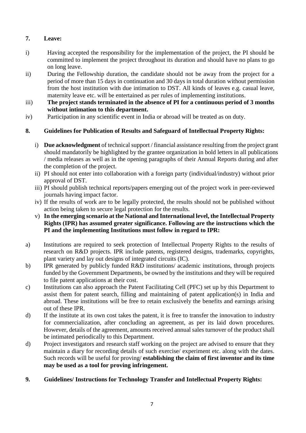#### **7. Leave:**

- i) Having accepted the responsibility for the implementation of the project, the PI should be committed to implement the project throughout its duration and should have no plans to go on long leave.
- ii) During the Fellowship duration, the candidate should not be away from the project for a period of more than 15 days in continuation and 30 days in total duration without permission from the host institution with due intimation to DST. All kinds of leaves e.g. casual leave, maternity leave etc. will be entertained as per rules of implementing institutions.
- iii) **The project stands terminated in the absence of PI for a continuous period of 3 months without intimation to this department.**
- iv) Participation in any scientific event in India or abroad will be treated as on duty.

#### **8. Guidelines for Publication of Results and Safeguard of Intellectual Property Rights:**

- i) **Due acknowledgment** of technical support / financial assistance resulting from the project grant should mandatorily be highlighted by the grantee organization in bold letters in all publications / media releases as well as in the opening paragraphs of their Annual Reports during and after the completion of the project.
- ii) PI should not enter into collaboration with a foreign party (individual/industry) without prior approval of DST.
- iii) PI should publish technical reports/papers emerging out of the project work in peer-reviewed journals having impact factor.
- iv) If the results of work are to be legally protected, the results should not be published without action being taken to secure legal protection for the results.
- v) **In the emerging scenario at the National and International level, the Intellectual Property Rights (IPR) has assumed greater significance. Following are the instructions which the PI and the implementing Institutions must follow in regard to IPR:**
- a) Institutions are required to seek protection of Intellectual Property Rights to the results of research on R&D projects. IPR include patents, registered designs, trademarks, copyrights, plant variety and lay out designs of integrated circuits (IC).
- b) IPR generated by publicly funded R&D institutions/ academic institutions, through projects funded by the Government Departments, be owned by the institutions and they will be required to file patent applications at their cost.
- c) Institutions can also approach the Patent Facilitating Cell (PFC) set up by this Department to assist them for patent search, filling and maintaining of patent application(s) in India and abroad. These institutions will be free to retain exclusively the benefits and earnings arising out of these IPR.
- d) If the institute at its own cost takes the patent, it is free to transfer the innovation to industry for commercialization, after concluding an agreement, as per its laid down procedures. However, details of the agreement, amounts received annual sales turnover of the product shall be intimated periodically to this Department.
- d) Project investigators and research staff working on the project are advised to ensure that they maintain a diary for recording details of such exercise/ experiment etc. along with the dates. Such records will be useful for proving/ **establishing the claim of first inventor and its time may be used as a tool for proving infringement.**
- **9. Guidelines/ Instructions for Technology Transfer and Intellectual Property Rights:**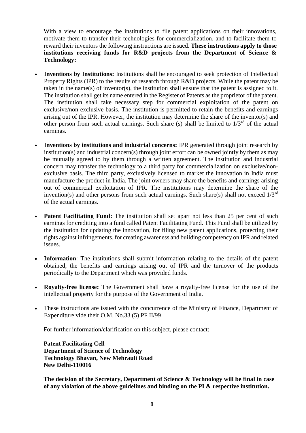With a view to encourage the institutions to file patent applications on their innovations, motivate them to transfer their technologies for commercialization, and to facilitate them to reward their inventors the following instructions are issued. **These instructions apply to those institutions receiving funds for R&D projects from the Department of Science & Technology:**

- **Inventions by Institutions:** Institutions shall be encouraged to seek protection of Intellectual Property Rights (IPR) to the results of research through R&D projects. While the patent may be taken in the name(s) of inventor(s), the institution shall ensure that the patent is assigned to it. The institution shall get its name entered in the Register of Patents as the proprietor of the patent. The institution shall take necessary step for commercial exploitation of the patent on exclusive/non-exclusive basis. The institution is permitted to retain the benefits and earnings arising out of the IPR. However, the institution may determine the share of the inventor(s) and other person from such actual earnings. Such share (s) shall be limited to  $1/3<sup>rd</sup>$  of the actual earnings.
- **Inventions by institutions and industrial concerns:** IPR generated through joint research by institution(s) and industrial concern(s) through joint effort can be owned jointly by them as may be mutually agreed to by them through a written agreement. The institution and industrial concern may transfer the technology to a third party for commercialization on exclusive/nonexclusive basis. The third party, exclusively licensed to market the innovation in India must manufacture the product in India. The joint owners may share the benefits and earnings arising out of commercial exploitation of IPR. The institutions may determine the share of the invention(s) and other persons from such actual earnings. Such share(s) shall not exceed  $1/3<sup>rd</sup>$ of the actual earnings.
- **Patent Facilitating Fund:** The institution shall set apart not less than 25 per cent of such earnings for crediting into a fund called Patent Facilitating Fund. This Fund shall be utilized by the institution for updating the innovation, for filing new patent applications, protecting their rights against infringements, for creating awareness and building competency on IPR and related issues.
- **Information**: The institutions shall submit information relating to the details of the patent obtained, the benefits and earnings arising out of IPR and the turnover of the products periodically to the Department which was provided funds.
- **Royalty-free license:** The Government shall have a royalty-free license for the use of the intellectual property for the purpose of the Government of India.
- These instructions are issued with the concurrence of the Ministry of Finance, Department of Expenditure vide their O.M. No.33 (5) PF II/99

For further information/clarification on this subject, please contact:

 **Patent Facilitating Cell Department of Science of Technology Technology Bhavan, New Mehrauli Road New Delhi-110016**

**The decision of the Secretary, Department of Science & Technology will be final in case of any violation of the above guidelines and binding on the PI & respective institution.**